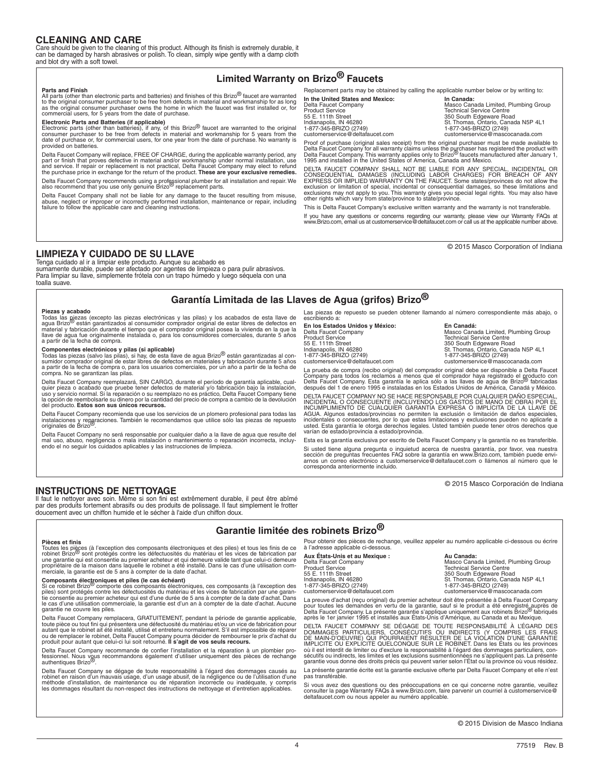## **CLEANING AND CARE**

Care should be given to the cleaning of this product. Although its finish is extremely durable, it can be damaged by harsh abrasives or polish. To clean, simply wipe gently with a damp cloth and blot dry with a soft towel.

# **Limited Warranty on Brizo® Faucets**

Replacement parts may be obtained by calling the applicable number below or by writing to:

**Parts and Finish** All parts (other than electronic parts and batteries) and finishes of this Brizo<sup>®</sup> faucet are warranted to the original consumer purchaser to be free from defects in material and workmanship for as long<br>as the original consumer purchaser owns the home in which the faucet was first installed or, for<br>commercial users, for 5 ye

Electronic Parts and Batteries (if applicable)<br>Electronic parts (other than batteries), if any, of this Brizo® faucet are warranted to the original<br>consumer purchaser to be free from defects in material and workmanship for provided on batteries.

Delta Faucet Company will replace, FREE OF CHARGE, during the applicable warranty period, any part or finish that proves defective in material and/or workmanship under normal installation, use<br>and service. If repair or replacement is not practical, Delta Faucet Company may elect to refund<br>the purchase price in exch

Delta Faucet Company recommends using a professional plumber for all installation and repair. We<br>also recommend that you use only genuine Brizo® replacement parts.

Delta Faucet Company shall not be liable for any damage to the faucet resulting from misuse,<br>abuse, neglect or improper or incorrectly performed installation, maintenance or repair, including<br>failure to follow the applicab

**In the United States and Mexico: In Canada:** Masco Canada: **Masco Canada:** Product Service **Technical State of Technical State 1** Technical State 1 and 350 South E natal politics, it we have been allowed by the contract of the distribution of the distribution of the distribution of the distribution of the distribution of the distribution of the distribution of the distribution of the

Delta Faucet Company Masco Canada Limited, Plumbing Group Product Service Technical Service Centre 55 E. 111th Street 350 South Edgeware Road Indianapolis, IN 46280 St. Thomas, Ontario, Canada N5P 4L1 customerservice@deltafaucet.com customerservice@mascocanada.com

Proof of purchase (original sales receipt) from the original purchaser must be made available to Delta Faucet Company for all warranty claims unless the purchaser has registered the product with<br>Delta Faucet Company. This warranty applies only to Brizo<sup>9</sup> faucets manufactured after January 1,<br>1995 and installed in the

DELTA FAUCET COMPANY SHALL NOT BE LIABLE FOR ANY SPECIAL, INCIDENTAL OR<br>CONSEQUENTIAL DAMAGES (INCLUDING LABOR CHARGES) FOR BREACH OF ANY<br>EXPRESS OR IMPLIED WARRANTY ON THE FAUCET. Some states/provinces do not allow the exclusion or limitation of special, incidental or consequential damages, so these limitations and<br>exclusions may not apply to you. This warranty gives you special legal rights. You may also have<br>other rights which vary fro

This is Delta Faucet Company's exclusive written warranty and the warranty is not transferable.

If you have any questions or concerns regarding our warranty, please view our Warranty FAQs at www.Brizo.com, email us at customerservice@deltafaucet.com or call us at the applicable number above.

© 2015 Masco Corporation of Indiana

## **LIMPIEZA Y CUIDADO DE SU LLAVE**

Tenga cuidado al ir a limpiar este producto. Aunque su acabado es sumamente durable, puede ser afectado por agentes de limpieza o para pulir abrasivos. Para limpiar su llave, simplemente frótela con un trapo húmedo y luego séquela con una toalla suave.

# **Garantía Limitada de las Llaves de Agua (grifos) Brizo®**

Piezas y acabado<br>Todas las piezas (excepto las piezas electrónicas y las pilas) y los acabados de esta llave de<br>agua Brizo® están garantizados al consumidor comprador original de estar libres de defectos en<br>material y fabr a partir de la fecha de compra.

**Componentes electrónicos y pilas (si aplicable)**<br>Todas las piezas (salvo las pilas), si hay, de esta llave de agua Brizo<sup>®</sup> están garantizadas al con-<br>sumidor comprador original de estar libres de defectos en materiales y a partir de la fecha de compra o, para los usuarios comerciales, por un año a partir de la fecha de compra. No se garantizan las pilas.

Delta Faucet Company reemplazará, SIN CARGO, durante el período de garantía aplicable, cual-<br>quier pieza o acabado que pruebe tener defectos de material y/o fabricación bajo la instalación,<br>uso y servicio normal. Si la rep del producto. **Estos son sus únicos recursos.** 

Delta Faucet Company recomienda que use los servicios de un plomero profesional para todas las instalaciones y reparaciones. También le recomendamos que utilice sólo las piezas de repuesto originales de Brizo®.

Delta Faucet Company no será responsable por cualquier daño a la llave de agua que resulte del<br>mal uso, abuso, negligencia o mala instalación o mantenimiento o reparación incorrecta, incluy-<br>endo el no seguir los cuidados

Las piezas de repuesto se pueden obtener llamando al número correspondiente más abajo, o escribiendo a:

**En los Estados Unidos y México: En Canadá:**

Delta Faucet Company (Entity of the Masco Canada Limited, Plumbing Group<br>Product Service Centre 55 E. 111th Street 350 South Edgeware Road Indianapolis, IN 46280 St. Thomas, Ontario, Canada N5P 4L1 1-877-345-BRIZO (2749) 1-877-345-BRIZO (2749) customerservice@deltafaucet.com customerservice@mascocanada.com

La prueba de compra (recibo original) del comprador original debe ser disponible a Delta Faucet Company para todos los reclamos a menos que el comprador haya registrado el producto con<br>Delta Faucet Company. Esta garantía le aplica sólo a las llaves de agua de Brizo<sup>®</sup> fabricadas<br>después del 1 de enero 1995 e instalad

DELTA FAUCET COMPANY NO SE HACE RESPONSABLE POR CUALQUIER DAÑO ESPECIAL, INCIDENTAL O CONSECUENTE (INCLUYENDO LOS GASTOS DE MANO DE OBRA) POR EL INCUMPLIMIENTO DE CUALQUIER GARANTÍA EXPRESA O IMPLÍCITA DE LA LLAVE DE AGUA. Algunos estados/provincias no permiten la exclusión o limitación de daños especiales,<br>incidentales o consecuentes, por lo que estas limitaciones y exclusiones pueden no aplicarle a<br>usted. Esta garantía le otorga dere varían de estado/provincia a estado/provincia.

Esta es la garantía exclusiva por escrito de Delta Faucet Company y la garantía no es transferible.

Si usted tiene alguna pregunta o inquietud acerca de nuestra garantía, por favor, vea nuestra<br>sección de preguntas frecuentes FAQ sobre la garantía en www.Brizo.com, también puede envi-<br>arnos un correo electrónico a custom

© 2015 Masco Corporación de Indiana

### **INSTRUCTIONS DE NETTOYAGE**

Il faut le nettoyer avec soin. Même si son fini est extrêmement durable, il peut être abîmé<br>par des produits fortement abrasifs ou des produits de polissage. Il faut simplement le frotter<br>doucement avec un chiffon humide e

# **Garantie limitée des robinets Brizo®**

#### **Pièces et finis**

Toutes les pièces (à l'exception des composants électroniques et des piles) et tous les finis de ce<br>robinet Brizo<sup>®</sup> sont protégés contre les défectuosités du matériau et les vices de fabrication par une garantie qui est consentie au premier acheteur et qui demeure valide tant que celui-ci demeure propriétaire de la maison dans laquelle le robinet a été installé. Dans le cas d'une utilisation com-merciale, la garantie est de 5 ans à compter de la date d'achat.

#### Composants électroniques et piles (le cas échéant)

Since robinet Brizo® comporte des composants électroniques, ces composants (à l'exception des<br>piles) sont protégés contre les défectuosités du matériau et les vices de fabrication par une garan-<br>tie consentie au premier ac le cas d'une utilisation commerciale, la garantie est d'un an à compter de la date d'achat. Aucune garantie ne couvre les piles.

Delta Faucet Company remplacera, GRATUITEMENT, pendant la période de garantie applicable, toute pièce ou tout fini qui présentera une défectuosité du matériau et/ou un vice de fabrication pour<br>autant que le robinet ait été installé, utilisé et entretenu normalement. S'il est impossible de réparer<br>ou de remplace

Delta Faucet Company recommande de confier l'installation et la réparation à un plombier pro-fessionnel. Nous vous recommandons également d'utiliser uniquement des pièces de rechange authentiques Brizo®.

Delta Faucet Company se dégage de toute responsabilité à l'égard des dommages causés au<br>robinet en raison d'un mauvais usage, d'un usage abusif, de la négligence ou de l'utilisation d'une<br>méthode d'installation, de mainten les dommages résultant du non-respect des instructions de nettoyage et d'entretien applicables.

Pour obtenir des pièces de rechange, veuillez appeler au numéro applicable ci-dessous ou écrire à l'adresse applicable ci-dessous.

**Aux États-Unis et au Mexique : <br>
Delta Faucet Company <b>aux Etats de La Canada:** Masco Cana Delta Faucet Company Masco Canada Limited, Plumbing Group Product Service<br>55 E. 111th Street 10:00<br>Indianapolis, IN 46280 St. Thomas, Ontario, Canada N5P 4L1<br>1-877-345-BRIZO (2749) 1-877-345-BRIZO (2749) From the service of the customerservice Customerservice Customerservice Customerservice Customerservice Customerservice Customerservice Customerservice Customerservice Customerservice Customerservice Customerservice Custom

La preuve d'achat (reçu original) du premier acheteur doit être présentée à Delta Faucet Company pour toutes les demandes en vertu de la garantie, sauf si le produit a été enregistré auprès de<br>Delta Faucet Company. La présente garantie s'applique uniquement aux robinets Brizo<sup>09</sup> fabriqués<br>après le 1er janvier 1995 et

DELTA FAUCET COMPANY SE DEGAGE DE TOUTE RESPONSABILITE A L'EGARD DES<br>DOMMAGES PARTICULIERS, CONSÉCUTIFS OU INDIRECTS (Y COMPRIS LES FRAIS<br>DE MAIN-D'OEUVRE) QUI POURRAIENT RÉSULTER DE LA VIOLATION D'UNE GARANTIE<br>IMPLICITE O où il est interdit de limiter ou d'exclure la responsabilité à l'égard des dommages particuliers, consécutifs ou indirects, les limites et les exclusions susmentionnées ne s'appliquent pas. La présente garantie vous donne des droits précis qui peuvent varier selon l'État ou la province où vous résidez.

La présente garantie écrite est la garantie exclusive offerte par Delta Faucet Company et elle n'est pas transférable.

Si vous avez des questions ou des préoccupations en ce qui concerne notre garantie, veuillez consulter la page Warranty FAQs à www.Brizo.com, faire parvenir un courriel à customerservice@ deltafaucet.com ou nous appeler au numéro applicable.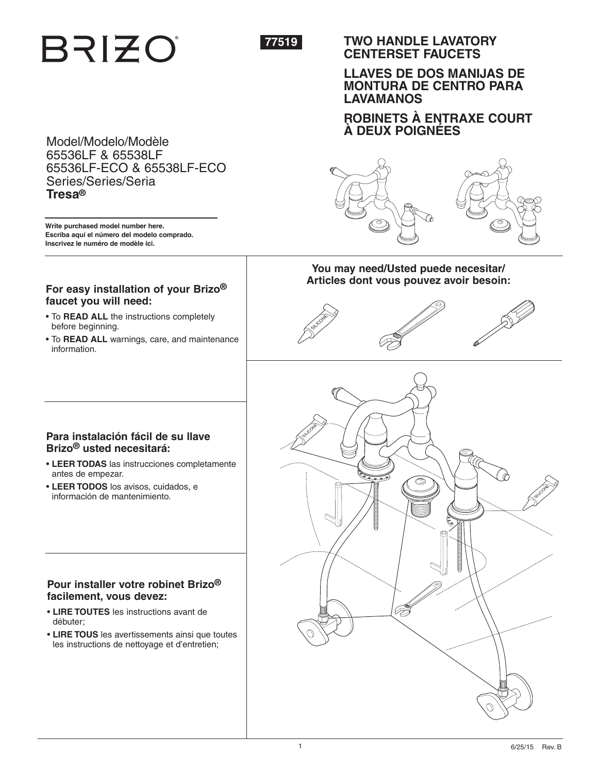# **BRIZO**



# **TWO HANDLE LAVATORY CENTERSET FAUCETS**

# **LLAVES DE DOS MANIJAS DE MONTURA DE CENTRO PARA LAVAMANOS**

**ROBINETS À ENTRAXE COURT À DEUX POIGNÉES**

# Model/Modelo/Modèle 65536LF & 65538LF 65536LF-ECO & 65538LF-ECO Series/Series/Seria **Tresa®**

**Write purchased model number here. Escriba aquí el número del modelo comprado. Inscrivez le numéro de modèle ici.**

# **For easy installation of your Brizo® faucet you will need:**

- To **READ ALL** the instructions completely before beginning.
- To **READ ALL** warnings, care, and maintenance information.

# **You may need/Usted puede necesitar/** Articles dont vous pouvez avoir besoin:







# **Para instalación fácil de su llave Brizo® usted necesitará:**

- **LEER TODAS** las instrucciones completamente antes de empezar.
- **LEER TODOS** los avisos, cuidados, e información de mantenimiento.

# **Pour installer votre robinet Brizo® facilement, vous devez:**

- **LIRE TOUTES** les instructions avant de débuter;
- **LIRE TOUS** les avertissements ainsi que toutes les instructions de nettoyage et d'entretien;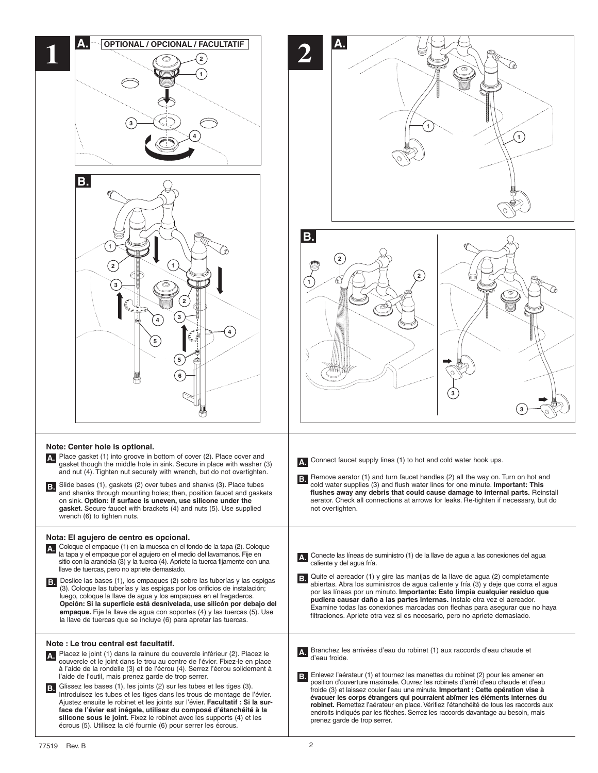| <b>OPTIONAL / OPCIONAL / FACULTATIF</b><br>2<br>$\mathbf{3}$<br><b>B.</b>                                                                                                                                                                                                                                                                                                                                                                                                                                                                                                                                                                                                                                                                                                                                | $\mathbf{1}$                                                                                                                                                                                                                                                                                                                                                                                                                                                                                                                                                                                                                                           |
|----------------------------------------------------------------------------------------------------------------------------------------------------------------------------------------------------------------------------------------------------------------------------------------------------------------------------------------------------------------------------------------------------------------------------------------------------------------------------------------------------------------------------------------------------------------------------------------------------------------------------------------------------------------------------------------------------------------------------------------------------------------------------------------------------------|--------------------------------------------------------------------------------------------------------------------------------------------------------------------------------------------------------------------------------------------------------------------------------------------------------------------------------------------------------------------------------------------------------------------------------------------------------------------------------------------------------------------------------------------------------------------------------------------------------------------------------------------------------|
| 1<br>$\mathbf{1}$<br>(2)<br>3<br>3<br>5<br>$\left(5\right)$<br>6                                                                                                                                                                                                                                                                                                                                                                                                                                                                                                                                                                                                                                                                                                                                         | В.<br>$^{(2)}$                                                                                                                                                                                                                                                                                                                                                                                                                                                                                                                                                                                                                                         |
| Note: Center hole is optional.<br>A. Place gasket (1) into groove in bottom of cover (2). Place cover and<br>gasket though the middle hole in sink. Secure in place with washer (3)<br>and nut (4). Tighten nut securely with wrench, but do not overtighten.<br>B. Slide bases (1), gaskets (2) over tubes and shanks (3). Place tubes<br>and shanks through mounting holes; then, position faucet and gaskets<br>on sink. Option: If surface is uneven, use silicone under the<br>gasket. Secure faucet with brackets (4) and nuts (5). Use supplied<br>wrench (6) to tighten nuts.                                                                                                                                                                                                                    | Connect faucet supply lines (1) to hot and cold water hook ups.<br>A.<br>Remove aerator (1) and turn faucet handles (2) all the way on. Turn on hot and<br>B.<br>cold water supplies (3) and flush water lines for one minute. Important: This<br>flushes away any debris that could cause damage to internal parts. Reinstall<br>aerator. Check all connections at arrows for leaks. Re-tighten if necessary, but do<br>not overtighten.                                                                                                                                                                                                              |
| Nota: El agujero de centro es opcional.<br>A. Coloque el empaque (1) en la muesca en el fondo de la tapa (2). Coloque<br>la tapa y el empaque por el agujero en el medio del lavamanos. Fije en<br>sitio con la arandela (3) y la tuerca (4). Apriete la tuerca fijamente con una<br>llave de tuercas, pero no apriete demasiado.<br>Deslice las bases (1), los empaques (2) sobre las tuberías y las espigas<br>B.<br>(3). Coloque las tuberías y las espigas por los orificios de instalación;<br>luego, coloque la llave de agua y los empaques en el fregaderos.<br>Opción: Si la superficie está desnivelada, use silicón por debajo del<br><b>empaque.</b> Fije la llave de agua con soportes (4) y las tuercas (5). Use<br>la llave de tuercas que se incluye (6) para apretar las tuercas.       | Conecte las líneas de suministro (1) de la llave de agua a las conexiones del agua<br>А.<br>caliente y del agua fría.<br>Quite el aereador (1) y gire las manijas de la llave de agua (2) completamente<br>B.<br>abiertas. Abra los suministros de agua caliente y fría (3) y deje que corra el agua<br>por las líneas por un minuto. Importante: Esto limpia cualquier residuo que<br>pudiera causar daño a las partes internas. Instale otra vez el aereador.<br>Examine todas las conexiones marcadas con flechas para asegurar que no haya<br>filtraciones. Apriete otra vez si es necesario, pero no apriete demasiado.                           |
| Note: Le trou central est facultatif.<br>A. Placez le joint (1) dans la rainure du couvercle inférieur (2). Placez le<br>couvercle et le joint dans le trou au centre de l'évier. Fixez-le en place<br>à l'aide de la rondelle (3) et de l'écrou (4). Serrez l'écrou solidement à<br>l'aide de l'outil, mais prenez garde de trop serrer.<br>Glissez les bases (1), les joints (2) sur les tubes et les tiges (3).<br>IB.<br>Introduisez les tubes et les tiges dans les trous de montage de l'évier.<br>Ajustez ensuite le robinet et les joints sur l'évier. Facultatif : Si la sur-<br>face de l'évier est inégale, utilisez du composé d'étanchéité à la<br>silicone sous le joint. Fixez le robinet avec les supports (4) et les<br>écrous (5). Utilisez la clé fournie (6) pour serrer les écrous. | Branchez les arrivées d'eau du robinet (1) aux raccords d'eau chaude et<br>d'eau froide.<br>Enlevez l'aérateur (1) et tournez les manettes du robinet (2) pour les amener en<br>B.<br>position d'ouverture maximale. Ouvrez les robinets d'arrêt d'eau chaude et d'eau<br>froide (3) et laissez couler l'eau une minute. Important : Cette opération vise à<br>évacuer les corps étrangers qui pourraient abîmer les éléments internes du<br>robinet. Remettez l'aérateur en place. Vérifiez l'étanchéité de tous les raccords aux<br>endroits indiqués par les flèches. Serrez les raccords davantage au besoin, mais<br>prenez garde de trop serrer. |